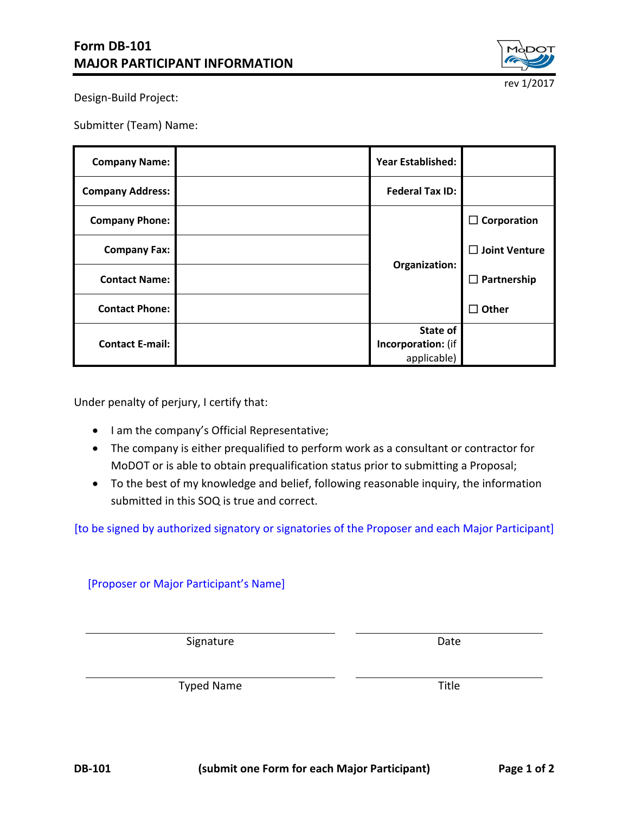

Design-Build Project:

Submitter (Team) Name:

| <b>Company Name:</b>    |  | <b>Year Established:</b> |                      |
|-------------------------|--|--------------------------|----------------------|
| <b>Company Address:</b> |  | <b>Federal Tax ID:</b>   |                      |
| <b>Company Phone:</b>   |  | Organization:            | $\Box$ Corporation   |
| <b>Company Fax:</b>     |  |                          | $\Box$ Joint Venture |
| <b>Contact Name:</b>    |  |                          | $\Box$ Partnership   |
| <b>Contact Phone:</b>   |  |                          | $\Box$ Other         |
| <b>Contact E-mail:</b>  |  | State of                 |                      |
|                         |  | Incorporation: (if       |                      |
|                         |  | applicable)              |                      |

Under penalty of perjury, I certify that:

- I am the company's Official Representative;
- The company is either prequalified to perform work as a consultant or contractor for MoDOT or is able to obtain prequalification status prior to submitting a Proposal;
- To the best of my knowledge and belief, following reasonable inquiry, the information submitted in this SOQ is true and correct.

[to be signed by authorized signatory or signatories of the Proposer and each Major Participant]

[Proposer or Major Participant's Name]

Signature Date

Typed Name Title